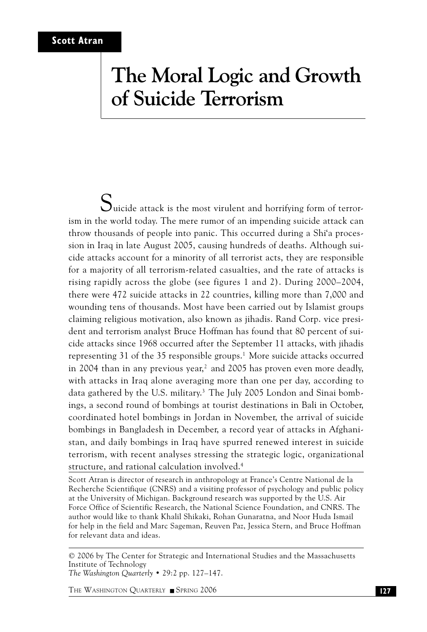# **The Moral Logic and Growth of Suicide Terrorism**

 $S_{\rm{uicide\ attack\ is\ the\ most\ virulent\ and\ horrifying\ form\ of\ terror-}}$ ism in the world today. The mere rumor of an impending suicide attack can throw thousands of people into panic. This occurred during a Shi'a procession in Iraq in late August 2005, causing hundreds of deaths. Although suicide attacks account for a minority of all terrorist acts, they are responsible for a majority of all terrorism-related casualties, and the rate of attacks is rising rapidly across the globe (see figures 1 and 2). During 2000–2004, there were 472 suicide attacks in 22 countries, killing more than 7,000 and wounding tens of thousands. Most have been carried out by Islamist groups claiming religious motivation, also known as jihadis. Rand Corp. vice president and terrorism analyst Bruce Hoffman has found that 80 percent of suicide attacks since 1968 occurred after the September 11 attacks, with jihadis representing 31 of the 35 responsible groups.<sup>1</sup> More suicide attacks occurred in 2004 than in any previous year,<sup>2</sup> and 2005 has proven even more deadly, with attacks in Iraq alone averaging more than one per day, according to data gathered by the U.S. military.<sup>3</sup> The July 2005 London and Sinai bombings, a second round of bombings at tourist destinations in Bali in October, coordinated hotel bombings in Jordan in November, the arrival of suicide bombings in Bangladesh in December, a record year of attacks in Afghanistan, and daily bombings in Iraq have spurred renewed interest in suicide terrorism, with recent analyses stressing the strategic logic, organizational structure, and rational calculation involved.4

Scott Atran is director of research in anthropology at France's Centre National de la Recherche Scientifique (CNRS) and a visiting professor of psychology and public policy at the University of Michigan. Background research was supported by the U.S. Air Force Office of Scientific Research, the National Science Foundation, and CNRS. The author would like to thank Khalil Shikaki, Rohan Gunaratna, and Noor Huda Ismail for help in the field and Marc Sageman, Reuven Paz, Jessica Stern, and Bruce Hoffman for relevant data and ideas.

© 2006 by The Center for Strategic and International Studies and the Massachusetts Institute of Technology *The Washington Quarterly* • 29:2 pp. 127–147.

THE WASHINGTON QUARTERLY ■ SPRING 2006 **127**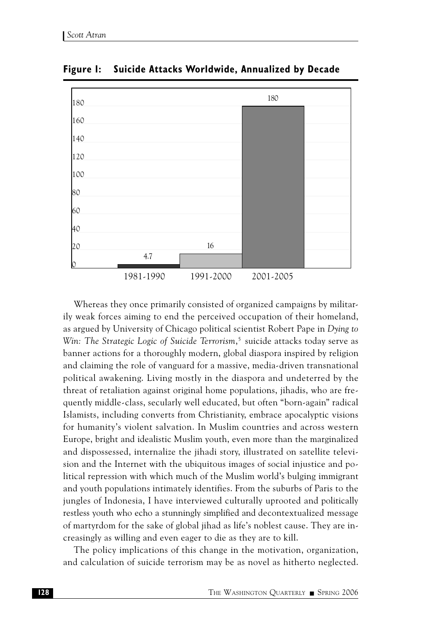

**Figure 1: Suicide Attacks Worldwide, Annualized by Decade**

Whereas they once primarily consisted of organized campaigns by militarily weak forces aiming to end the perceived occupation of their homeland, as argued by University of Chicago political scientist Robert Pape in *Dying to Win: The Strategic Logic of Suicide Terrorism*, 5 suicide attacks today serve as banner actions for a thoroughly modern, global diaspora inspired by religion and claiming the role of vanguard for a massive, media-driven transnational political awakening. Living mostly in the diaspora and undeterred by the threat of retaliation against original home populations, jihadis, who are frequently middle-class, secularly well educated, but often "born-again" radical Islamists, including converts from Christianity, embrace apocalyptic visions for humanity's violent salvation. In Muslim countries and across western Europe, bright and idealistic Muslim youth, even more than the marginalized and dispossessed, internalize the jihadi story, illustrated on satellite television and the Internet with the ubiquitous images of social injustice and political repression with which much of the Muslim world's bulging immigrant and youth populations intimately identifies. From the suburbs of Paris to the jungles of Indonesia, I have interviewed culturally uprooted and politically restless youth who echo a stunningly simplified and decontextualized message of martyrdom for the sake of global jihad as life's noblest cause. They are increasingly as willing and even eager to die as they are to kill.

The policy implications of this change in the motivation, organization, and calculation of suicide terrorism may be as novel as hitherto neglected.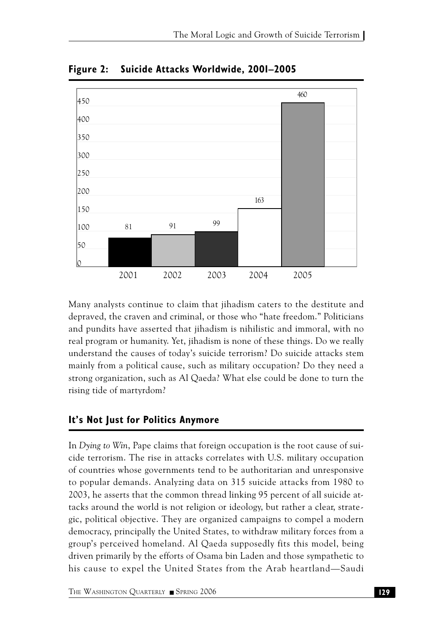

**Figure 2: Suicide Attacks Worldwide, 2001–2005**

Many analysts continue to claim that jihadism caters to the destitute and depraved, the craven and criminal, or those who "hate freedom." Politicians and pundits have asserted that jihadism is nihilistic and immoral, with no real program or humanity. Yet, jihadism is none of these things. Do we really understand the causes of today's suicide terrorism? Do suicide attacks stem mainly from a political cause, such as military occupation? Do they need a strong organization, such as Al Qaeda? What else could be done to turn the rising tide of martyrdom?

## **It's Not Just for Politics Anymore**

In *Dying to Win*, Pape claims that foreign occupation is the root cause of suicide terrorism. The rise in attacks correlates with U.S. military occupation of countries whose governments tend to be authoritarian and unresponsive to popular demands. Analyzing data on 315 suicide attacks from 1980 to 2003, he asserts that the common thread linking 95 percent of all suicide attacks around the world is not religion or ideology, but rather a clear, strategic, political objective. They are organized campaigns to compel a modern democracy, principally the United States, to withdraw military forces from a group's perceived homeland. Al Qaeda supposedly fits this model, being driven primarily by the efforts of Osama bin Laden and those sympathetic to his cause to expel the United States from the Arab heartland—Saudi

THE WASHINGTON QUARTERLY **BERING 2006**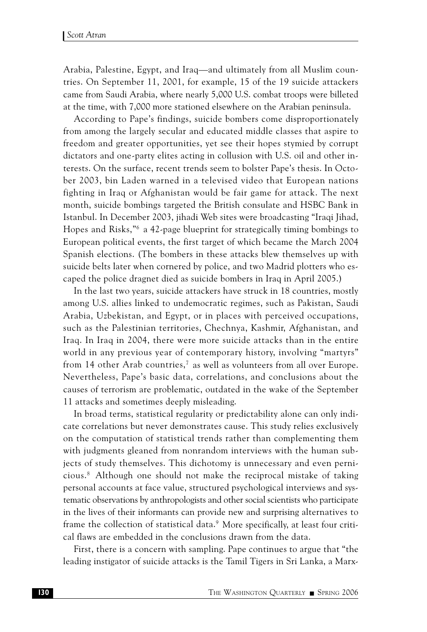Arabia, Palestine, Egypt, and Iraq—and ultimately from all Muslim countries. On September 11, 2001, for example, 15 of the 19 suicide attackers came from Saudi Arabia, where nearly 5,000 U.S. combat troops were billeted at the time, with 7,000 more stationed elsewhere on the Arabian peninsula.

According to Pape's findings, suicide bombers come disproportionately from among the largely secular and educated middle classes that aspire to freedom and greater opportunities, yet see their hopes stymied by corrupt dictators and one-party elites acting in collusion with U.S. oil and other interests. On the surface, recent trends seem to bolster Pape's thesis. In October 2003, bin Laden warned in a televised video that European nations fighting in Iraq or Afghanistan would be fair game for attack. The next month, suicide bombings targeted the British consulate and HSBC Bank in Istanbul. In December 2003, jihadi Web sites were broadcasting "Iraqi Jihad, Hopes and Risks,"6 a 42-page blueprint for strategically timing bombings to European political events, the first target of which became the March 2004 Spanish elections. (The bombers in these attacks blew themselves up with suicide belts later when cornered by police, and two Madrid plotters who escaped the police dragnet died as suicide bombers in Iraq in April 2005.)

In the last two years, suicide attackers have struck in 18 countries, mostly among U.S. allies linked to undemocratic regimes, such as Pakistan, Saudi Arabia, Uzbekistan, and Egypt, or in places with perceived occupations, such as the Palestinian territories, Chechnya, Kashmir, Afghanistan, and Iraq. In Iraq in 2004, there were more suicide attacks than in the entire world in any previous year of contemporary history, involving "martyrs" from 14 other Arab countries,<sup>7</sup> as well as volunteers from all over Europe. Nevertheless, Pape's basic data, correlations, and conclusions about the causes of terrorism are problematic, outdated in the wake of the September 11 attacks and sometimes deeply misleading.

In broad terms, statistical regularity or predictability alone can only indicate correlations but never demonstrates cause. This study relies exclusively on the computation of statistical trends rather than complementing them with judgments gleaned from nonrandom interviews with the human subjects of study themselves. This dichotomy is unnecessary and even pernicious.8 Although one should not make the reciprocal mistake of taking personal accounts at face value, structured psychological interviews and systematic observations by anthropologists and other social scientists who participate in the lives of their informants can provide new and surprising alternatives to frame the collection of statistical data.<sup>9</sup> More specifically, at least four critical flaws are embedded in the conclusions drawn from the data.

First, there is a concern with sampling. Pape continues to argue that "the leading instigator of suicide attacks is the Tamil Tigers in Sri Lanka, a Marx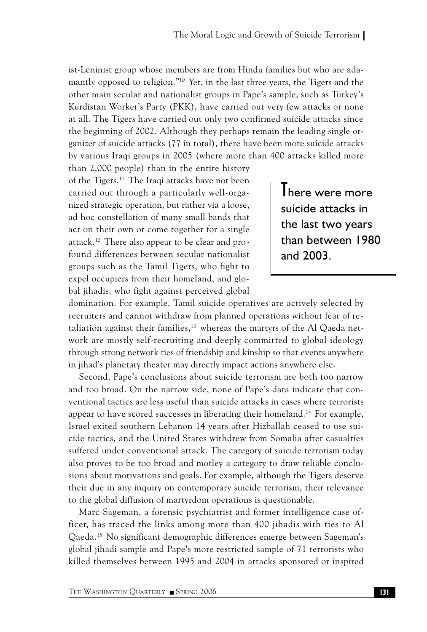ist-Leninist group whose members are from Hindu families but who are adamantly opposed to religion."<sup>10</sup> Yet, in the last three years, the Tigers and the other main secular and nationalist groups in Pape's sample, such as Turkey's Kurdistan Worker's Party (PKK), have carried out very few attacks or none at all. The Tigers have carried out only two confirmed suicide attacks since the beginning of 2002. Although they perhaps remain the leading single organizer of suicide attacks (77 in total), there have been more suicide attacks by various Iraqi groups in 2005 (where more than 400 attacks killed more than 2,000 people) than in the entire history

of the Tigers.11 The Iraqi attacks have not been carried out through a particularly well-organized strategic operation, but rather via a loose, ad hoc constellation of many small bands that act on their own or come together for a single attack.12 There also appear to be clear and profound differences between secular nationalist groups such as the Tamil Tigers, who fight to expel occupiers from their homeland, and global jihadis, who fight against perceived global

I here were more suicide attacks in the last two years than between 1980 and 2003.

domination. For example, Tamil suicide operatives are actively selected by recruiters and cannot withdraw from planned operations without fear of retaliation against their families, $13$  whereas the martyrs of the Al Qaeda network are mostly self-recruiting and deeply committed to global ideology through strong network ties of friendship and kinship so that events anywhere in jihad's planetary theater may directly impact actions anywhere else.

Second, Pape's conclusions about suicide terrorism are both too narrow and too broad. On the narrow side, none of Pape's data indicate that conventional tactics are less useful than suicide attacks in cases where terrorists appear to have scored successes in liberating their homeland.<sup>14</sup> For example, Israel exited southern Lebanon 14 years after Hizballah ceased to use suicide tactics, and the United States withdrew from Somalia after casualties suffered under conventional attack. The category of suicide terrorism today also proves to be too broad and motley a category to draw reliable conclusions about motivations and goals. For example, although the Tigers deserve their due in any inquiry on contemporary suicide terrorism, their relevance to the global diffusion of martyrdom operations is questionable.

Marc Sageman, a forensic psychiatrist and former intelligence case officer, has traced the links among more than 400 jihadis with ties to Al Qaeda.15 No significant demographic differences emerge between Sageman's global jihadi sample and Pape's more restricted sample of 71 terrorists who killed themselves between 1995 and 2004 in attacks sponsored or inspired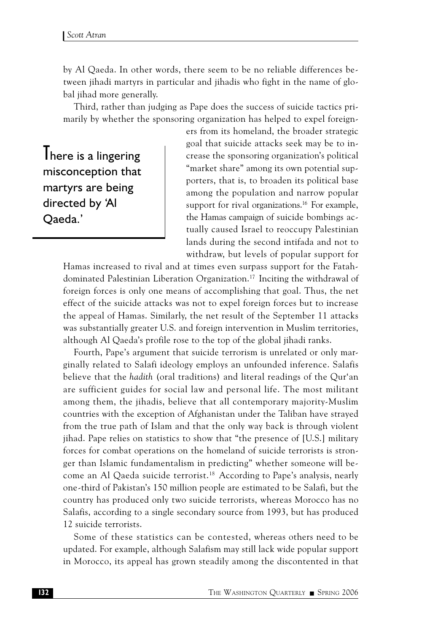by Al Qaeda. In other words, there seem to be no reliable differences between jihadi martyrs in particular and jihadis who fight in the name of global jihad more generally.

Third, rather than judging as Pape does the success of suicide tactics primarily by whether the sponsoring organization has helped to expel foreign-

There is a lingering misconception that martyrs are being directed by 'Al Qaeda.'

ers from its homeland, the broader strategic goal that suicide attacks seek may be to increase the sponsoring organization's political "market share" among its own potential supporters, that is, to broaden its political base among the population and narrow popular support for rival organizations.<sup>16</sup> For example, the Hamas campaign of suicide bombings actually caused Israel to reoccupy Palestinian lands during the second intifada and not to withdraw, but levels of popular support for

Hamas increased to rival and at times even surpass support for the Fatahdominated Palestinian Liberation Organization.<sup>17</sup> Inciting the withdrawal of foreign forces is only one means of accomplishing that goal. Thus, the net effect of the suicide attacks was not to expel foreign forces but to increase the appeal of Hamas. Similarly, the net result of the September 11 attacks was substantially greater U.S. and foreign intervention in Muslim territories, although Al Qaeda's profile rose to the top of the global jihadi ranks.

Fourth, Pape's argument that suicide terrorism is unrelated or only marginally related to Salafi ideology employs an unfounded inference. Salafis believe that the *hadith* (oral traditions) and literal readings of the Qur'an are sufficient guides for social law and personal life. The most militant among them, the jihadis, believe that all contemporary majority-Muslim countries with the exception of Afghanistan under the Taliban have strayed from the true path of Islam and that the only way back is through violent jihad. Pape relies on statistics to show that "the presence of [U.S.] military forces for combat operations on the homeland of suicide terrorists is stronger than Islamic fundamentalism in predicting" whether someone will become an Al Qaeda suicide terrorist.18 According to Pape's analysis, nearly one-third of Pakistan's 150 million people are estimated to be Salafi, but the country has produced only two suicide terrorists, whereas Morocco has no Salafis, according to a single secondary source from 1993, but has produced 12 suicide terrorists.

Some of these statistics can be contested, whereas others need to be updated. For example, although Salafism may still lack wide popular support in Morocco, its appeal has grown steadily among the discontented in that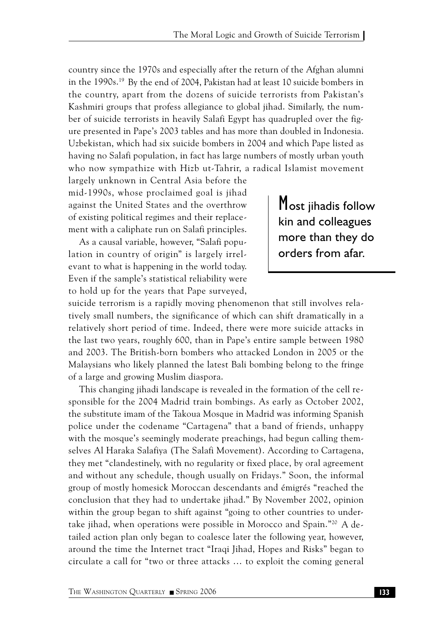country since the 1970s and especially after the return of the Afghan alumni in the 1990s.19 By the end of 2004, Pakistan had at least 10 suicide bombers in the country, apart from the dozens of suicide terrorists from Pakistan's Kashmiri groups that profess allegiance to global jihad. Similarly, the number of suicide terrorists in heavily Salafi Egypt has quadrupled over the figure presented in Pape's 2003 tables and has more than doubled in Indonesia. Uzbekistan, which had six suicide bombers in 2004 and which Pape listed as having no Salafi population, in fact has large numbers of mostly urban youth who now sympathize with Hizb ut-Tahrir, a radical Islamist movement

largely unknown in Central Asia before the mid-1990s, whose proclaimed goal is jihad against the United States and the overthrow of existing political regimes and their replacement with a caliphate run on Salafi principles.

As a causal variable, however, "Salafi population in country of origin" is largely irrelevant to what is happening in the world today. Even if the sample's statistical reliability were to hold up for the years that Pape surveyed,

Most jihadis follow kin and colleagues more than they do orders from afar.

suicide terrorism is a rapidly moving phenomenon that still involves relatively small numbers, the significance of which can shift dramatically in a relatively short period of time. Indeed, there were more suicide attacks in the last two years, roughly 600, than in Pape's entire sample between 1980 and 2003. The British-born bombers who attacked London in 2005 or the Malaysians who likely planned the latest Bali bombing belong to the fringe of a large and growing Muslim diaspora.

This changing jihadi landscape is revealed in the formation of the cell responsible for the 2004 Madrid train bombings. As early as October 2002, the substitute imam of the Takoua Mosque in Madrid was informing Spanish police under the codename "Cartagena" that a band of friends, unhappy with the mosque's seemingly moderate preachings, had begun calling themselves Al Haraka Salafiya (The Salafi Movement). According to Cartagena, they met "clandestinely, with no regularity or fixed place, by oral agreement and without any schedule, though usually on Fridays." Soon, the informal group of mostly homesick Moroccan descendants and émigrés "reached the conclusion that they had to undertake jihad." By November 2002, opinion within the group began to shift against "going to other countries to undertake jihad, when operations were possible in Morocco and Spain."20 A detailed action plan only began to coalesce later the following year, however, around the time the Internet tract "Iraqi Jihad, Hopes and Risks" began to circulate a call for "two or three attacks … to exploit the coming general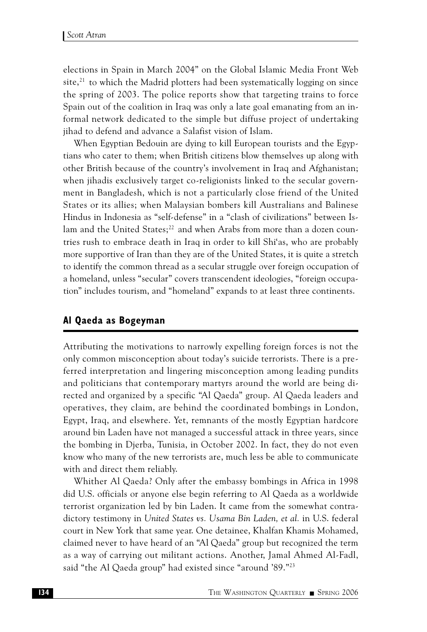elections in Spain in March 2004" on the Global Islamic Media Front Web site, $21$  to which the Madrid plotters had been systematically logging on since the spring of 2003. The police reports show that targeting trains to force Spain out of the coalition in Iraq was only a late goal emanating from an informal network dedicated to the simple but diffuse project of undertaking jihad to defend and advance a Salafist vision of Islam.

When Egyptian Bedouin are dying to kill European tourists and the Egyptians who cater to them; when British citizens blow themselves up along with other British because of the country's involvement in Iraq and Afghanistan; when jihadis exclusively target co-religionists linked to the secular government in Bangladesh, which is not a particularly close friend of the United States or its allies; when Malaysian bombers kill Australians and Balinese Hindus in Indonesia as "self-defense" in a "clash of civilizations" between Islam and the United States;<sup>22</sup> and when Arabs from more than a dozen countries rush to embrace death in Iraq in order to kill Shi'as, who are probably more supportive of Iran than they are of the United States, it is quite a stretch to identify the common thread as a secular struggle over foreign occupation of a homeland, unless "secular" covers transcendent ideologies, "foreign occupation" includes tourism, and "homeland" expands to at least three continents.

#### **Al Qaeda as Bogeyman**

Attributing the motivations to narrowly expelling foreign forces is not the only common misconception about today's suicide terrorists. There is a preferred interpretation and lingering misconception among leading pundits and politicians that contemporary martyrs around the world are being directed and organized by a specific "Al Qaeda" group. Al Qaeda leaders and operatives, they claim, are behind the coordinated bombings in London, Egypt, Iraq, and elsewhere. Yet, remnants of the mostly Egyptian hardcore around bin Laden have not managed a successful attack in three years, since the bombing in Djerba, Tunisia, in October 2002. In fact, they do not even know who many of the new terrorists are, much less be able to communicate with and direct them reliably.

Whither Al Qaeda? Only after the embassy bombings in Africa in 1998 did U.S. officials or anyone else begin referring to Al Qaeda as a worldwide terrorist organization led by bin Laden. It came from the somewhat contradictory testimony in *United States vs. Usama Bin Laden, et al.* in U.S. federal court in New York that same year. One detainee, Khalfan Khamis Mohamed, claimed never to have heard of an "Al Qaeda" group but recognized the term as a way of carrying out militant actions. Another, Jamal Ahmed Al-Fadl, said "the Al Qaeda group" had existed since "around '89."23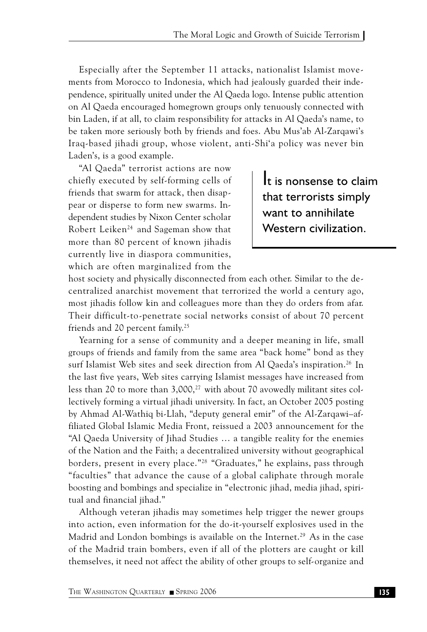Especially after the September 11 attacks, nationalist Islamist movements from Morocco to Indonesia, which had jealously guarded their independence, spiritually united under the Al Qaeda logo. Intense public attention on Al Qaeda encouraged homegrown groups only tenuously connected with bin Laden, if at all, to claim responsibility for attacks in Al Qaeda's name, to be taken more seriously both by friends and foes. Abu Mus'ab Al-Zarqawi's Iraq-based jihadi group, whose violent, anti-Shi'a policy was never bin Laden's, is a good example.

"Al Qaeda" terrorist actions are now chiefly executed by self-forming cells of friends that swarm for attack, then disappear or disperse to form new swarms. Independent studies by Nixon Center scholar Robert Leiken<sup>24</sup> and Sageman show that more than 80 percent of known jihadis currently live in diaspora communities, which are often marginalized from the

It is nonsense to claim that terrorists simply want to annihilate Western civilization.

host society and physically disconnected from each other. Similar to the decentralized anarchist movement that terrorized the world a century ago, most jihadis follow kin and colleagues more than they do orders from afar. Their difficult-to-penetrate social networks consist of about 70 percent friends and 20 percent family.<sup>25</sup>

Yearning for a sense of community and a deeper meaning in life, small groups of friends and family from the same area "back home" bond as they surf Islamist Web sites and seek direction from Al Qaeda's inspiration.<sup>26</sup> In the last five years, Web sites carrying Islamist messages have increased from less than 20 to more than  $3,000$ ,<sup>27</sup> with about 70 avowedly militant sites collectively forming a virtual jihadi university. In fact, an October 2005 posting by Ahmad Al-Wathiq bi-Llah, "deputy general emir" of the Al-Zarqawi–affiliated Global Islamic Media Front, reissued a 2003 announcement for the "Al Qaeda University of Jihad Studies … a tangible reality for the enemies of the Nation and the Faith; a decentralized university without geographical borders, present in every place."28 "Graduates," he explains, pass through "faculties" that advance the cause of a global caliphate through morale boosting and bombings and specialize in "electronic jihad, media jihad, spiritual and financial jihad."

Although veteran jihadis may sometimes help trigger the newer groups into action, even information for the do-it-yourself explosives used in the Madrid and London bombings is available on the Internet.<sup>29</sup> As in the case of the Madrid train bombers, even if all of the plotters are caught or kill themselves, it need not affect the ability of other groups to self-organize and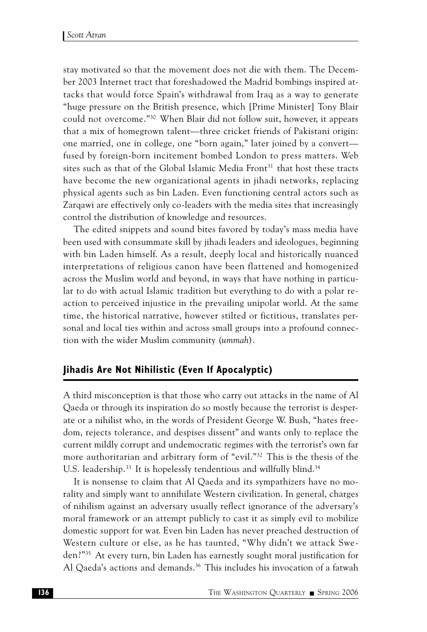stay motivated so that the movement does not die with them. The December 2003 Internet tract that foreshadowed the Madrid bombings inspired attacks that would force Spain's withdrawal from Iraq as a way to generate "huge pressure on the British presence, which [Prime Minister] Tony Blair could not overcome."30 When Blair did not follow suit, however, it appears that a mix of homegrown talent—three cricket friends of Pakistani origin: one married, one in college, one "born again," later joined by a convert fused by foreign-born incitement bombed London to press matters. Web sites such as that of the Global Islamic Media Front<sup>31</sup> that host these tracts have become the new organizational agents in jihadi networks, replacing physical agents such as bin Laden. Even functioning central actors such as Zarqawi are effectively only co-leaders with the media sites that increasingly control the distribution of knowledge and resources.

The edited snippets and sound bites favored by today's mass media have been used with consummate skill by jihadi leaders and ideologues, beginning with bin Laden himself. As a result, deeply local and historically nuanced interpretations of religious canon have been flattened and homogenized across the Muslim world and beyond, in ways that have nothing in particular to do with actual Islamic tradition but everything to do with a polar reaction to perceived injustice in the prevailing unipolar world. At the same time, the historical narrative, however stilted or fictitious, translates personal and local ties within and across small groups into a profound connection with the wider Muslim community (*ummah*).

### **Jihadis Are Not Nihilistic (Even If Apocalyptic)**

A third misconception is that those who carry out attacks in the name of Al Qaeda or through its inspiration do so mostly because the terrorist is desperate or a nihilist who, in the words of President George W. Bush, "hates freedom, rejects tolerance, and despises dissent" and wants only to replace the current mildly corrupt and undemocratic regimes with the terrorist's own far more authoritarian and arbitrary form of "evil."32 This is the thesis of the U.S. leadership.<sup>33</sup> It is hopelessly tendentious and willfully blind.<sup>34</sup>

It is nonsense to claim that Al Qaeda and its sympathizers have no morality and simply want to annihilate Western civilization. In general, charges of nihilism against an adversary usually reflect ignorance of the adversary's moral framework or an attempt publicly to cast it as simply evil to mobilize domestic support for war. Even bin Laden has never preached destruction of Western culture or else, as he has taunted, "Why didn't we attack Sweden?"35 At every turn, bin Laden has earnestly sought moral justification for Al Qaeda's actions and demands.<sup>36</sup> This includes his invocation of a fatwah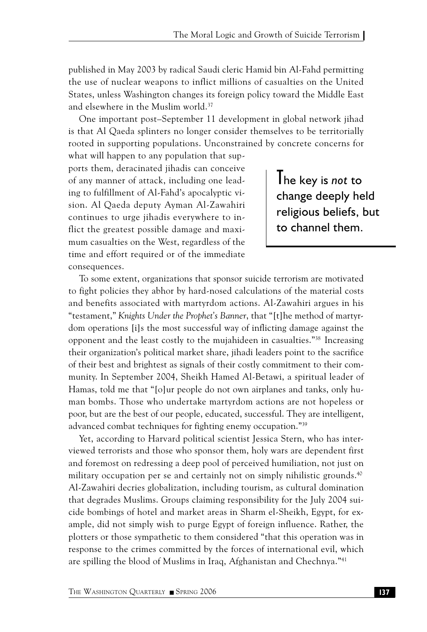published in May 2003 by radical Saudi cleric Hamid bin Al-Fahd permitting the use of nuclear weapons to inflict millions of casualties on the United States, unless Washington changes its foreign policy toward the Middle East and elsewhere in the Muslim world.37

One important post–September 11 development in global network jihad is that Al Qaeda splinters no longer consider themselves to be territorially rooted in supporting populations. Unconstrained by concrete concerns for

what will happen to any population that supports them, deracinated jihadis can conceive of any manner of attack, including one leading to fulfillment of Al-Fahd's apocalyptic vision. Al Qaeda deputy Ayman Al-Zawahiri continues to urge jihadis everywhere to inflict the greatest possible damage and maximum casualties on the West, regardless of the time and effort required or of the immediate consequences.

The key is *not* to change deeply held religious beliefs, but to channel them.

To some extent, organizations that sponsor suicide terrorism are motivated to fight policies they abhor by hard-nosed calculations of the material costs and benefits associated with martyrdom actions. Al-Zawahiri argues in his "testament," *Knights Under the Prophet's Banner*, that "[t]he method of martyrdom operations [i]s the most successful way of inflicting damage against the opponent and the least costly to the mujahideen in casualties."38 Increasing their organization's political market share, jihadi leaders point to the sacrifice of their best and brightest as signals of their costly commitment to their community. In September 2004, Sheikh Hamed Al-Betawi, a spiritual leader of Hamas, told me that "[o]ur people do not own airplanes and tanks, only human bombs. Those who undertake martyrdom actions are not hopeless or poor, but are the best of our people, educated, successful. They are intelligent, advanced combat techniques for fighting enemy occupation."39

Yet, according to Harvard political scientist Jessica Stern, who has interviewed terrorists and those who sponsor them, holy wars are dependent first and foremost on redressing a deep pool of perceived humiliation, not just on military occupation per se and certainly not on simply nihilistic grounds.<sup>40</sup> Al-Zawahiri decries globalization, including tourism, as cultural domination that degrades Muslims. Groups claiming responsibility for the July 2004 suicide bombings of hotel and market areas in Sharm el-Sheikh, Egypt, for example, did not simply wish to purge Egypt of foreign influence. Rather, the plotters or those sympathetic to them considered "that this operation was in response to the crimes committed by the forces of international evil, which are spilling the blood of Muslims in Iraq, Afghanistan and Chechnya."41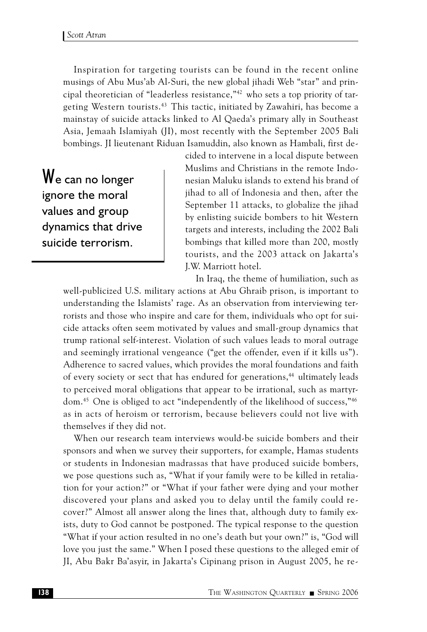Inspiration for targeting tourists can be found in the recent online musings of Abu Mus'ab Al-Suri, the new global jihadi Web "star" and principal theoretician of "leaderless resistance,"42 who sets a top priority of targeting Western tourists.<sup>43</sup> This tactic, initiated by Zawahiri, has become a mainstay of suicide attacks linked to Al Qaeda's primary ally in Southeast Asia, Jemaah Islamiyah (JI), most recently with the September 2005 Bali bombings. JI lieutenant Riduan Isamuddin, also known as Hambali, first de-

We can no longer ignore the moral values and group dynamics that drive suicide terrorism.

cided to intervene in a local dispute between Muslims and Christians in the remote Indonesian Maluku islands to extend his brand of jihad to all of Indonesia and then, after the September 11 attacks, to globalize the jihad by enlisting suicide bombers to hit Western targets and interests, including the 2002 Bali bombings that killed more than 200, mostly tourists, and the 2003 attack on Jakarta's J.W. Marriott hotel.

In Iraq, the theme of humiliation, such as well-publicized U.S. military actions at Abu Ghraib prison, is important to understanding the Islamists' rage. As an observation from interviewing terrorists and those who inspire and care for them, individuals who opt for suicide attacks often seem motivated by values and small-group dynamics that trump rational self-interest. Violation of such values leads to moral outrage and seemingly irrational vengeance ("get the offender, even if it kills us"). Adherence to sacred values, which provides the moral foundations and faith of every society or sect that has endured for generations,<sup>44</sup> ultimately leads to perceived moral obligations that appear to be irrational, such as martyrdom.45 One is obliged to act "independently of the likelihood of success,"46 as in acts of heroism or terrorism, because believers could not live with themselves if they did not.

When our research team interviews would-be suicide bombers and their sponsors and when we survey their supporters, for example, Hamas students or students in Indonesian madrassas that have produced suicide bombers, we pose questions such as, "What if your family were to be killed in retaliation for your action?" or "What if your father were dying and your mother discovered your plans and asked you to delay until the family could recover?" Almost all answer along the lines that, although duty to family exists, duty to God cannot be postponed. The typical response to the question "What if your action resulted in no one's death but your own?" is, "God will love you just the same." When I posed these questions to the alleged emir of JI, Abu Bakr Ba'asyir, in Jakarta's Cipinang prison in August 2005, he re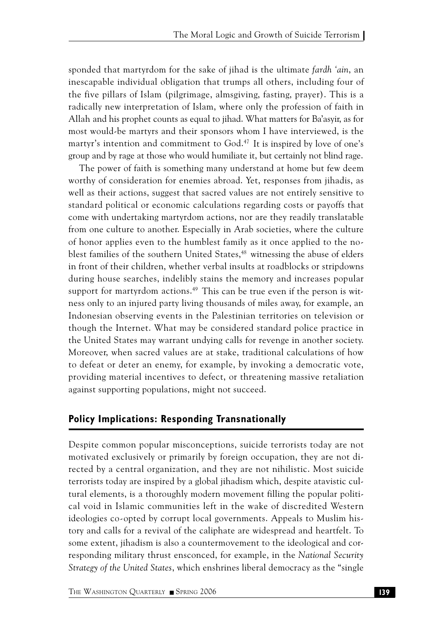sponded that martyrdom for the sake of jihad is the ultimate *fardh 'ain*, an inescapable individual obligation that trumps all others, including four of the five pillars of Islam (pilgrimage, almsgiving, fasting, prayer). This is a radically new interpretation of Islam, where only the profession of faith in Allah and his prophet counts as equal to jihad. What matters for Ba'asyir, as for most would-be martyrs and their sponsors whom I have interviewed, is the martyr's intention and commitment to  $God.^{47}$  It is inspired by love of one's group and by rage at those who would humiliate it, but certainly not blind rage.

The power of faith is something many understand at home but few deem worthy of consideration for enemies abroad. Yet, responses from jihadis, as well as their actions, suggest that sacred values are not entirely sensitive to standard political or economic calculations regarding costs or payoffs that come with undertaking martyrdom actions, nor are they readily translatable from one culture to another. Especially in Arab societies, where the culture of honor applies even to the humblest family as it once applied to the noblest families of the southern United States,<sup>48</sup> witnessing the abuse of elders in front of their children, whether verbal insults at roadblocks or stripdowns during house searches, indelibly stains the memory and increases popular support for martyrdom actions.<sup>49</sup> This can be true even if the person is witness only to an injured party living thousands of miles away, for example, an Indonesian observing events in the Palestinian territories on television or though the Internet. What may be considered standard police practice in the United States may warrant undying calls for revenge in another society. Moreover, when sacred values are at stake, traditional calculations of how to defeat or deter an enemy, for example, by invoking a democratic vote, providing material incentives to defect, or threatening massive retaliation against supporting populations, might not succeed.

## **Policy Implications: Responding Transnationally**

Despite common popular misconceptions, suicide terrorists today are not motivated exclusively or primarily by foreign occupation, they are not directed by a central organization, and they are not nihilistic. Most suicide terrorists today are inspired by a global jihadism which, despite atavistic cultural elements, is a thoroughly modern movement filling the popular political void in Islamic communities left in the wake of discredited Western ideologies co-opted by corrupt local governments. Appeals to Muslim history and calls for a revival of the caliphate are widespread and heartfelt. To some extent, jihadism is also a countermovement to the ideological and corresponding military thrust ensconced, for example, in the *National Security Strategy of the United States*, which enshrines liberal democracy as the "single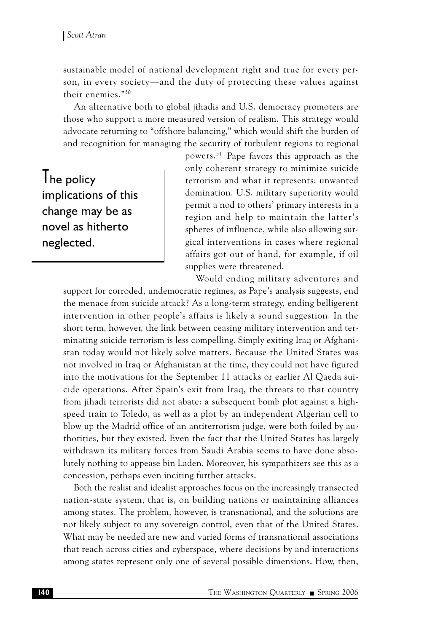sustainable model of national development right and true for every person, in every society—and the duty of protecting these values against their enemies."50

An alternative both to global jihadis and U.S. democracy promoters are those who support a more measured version of realism. This strategy would advocate returning to "offshore balancing," which would shift the burden of and recognition for managing the security of turbulent regions to regional

The policy implications of this change may be as novel as hitherto neglected.

powers.51 Pape favors this approach as the only coherent strategy to minimize suicide terrorism and what it represents: unwanted domination. U.S. military superiority would permit a nod to others' primary interests in a region and help to maintain the latter's spheres of influence, while also allowing surgical interventions in cases where regional affairs got out of hand, for example, if oil supplies were threatened.

Would ending military adventures and support for corroded, undemocratic regimes, as Pape's analysis suggests, end the menace from suicide attack? As a long-term strategy, ending belligerent intervention in other people's affairs is likely a sound suggestion. In the short term, however, the link between ceasing military intervention and terminating suicide terrorism is less compelling. Simply exiting Iraq or Afghanistan today would not likely solve matters. Because the United States was not involved in Iraq or Afghanistan at the time, they could not have figured into the motivations for the September 11 attacks or earlier Al Qaeda suicide operations. After Spain's exit from Iraq, the threats to that country from jihadi terrorists did not abate: a subsequent bomb plot against a highspeed train to Toledo, as well as a plot by an independent Algerian cell to blow up the Madrid office of an antiterrorism judge, were both foiled by authorities, but they existed. Even the fact that the United States has largely withdrawn its military forces from Saudi Arabia seems to have done absolutely nothing to appease bin Laden. Moreover, his sympathizers see this as a concession, perhaps even inciting further attacks.

Both the realist and idealist approaches focus on the increasingly transected nation-state system, that is, on building nations or maintaining alliances among states. The problem, however, is transnational, and the solutions are not likely subject to any sovereign control, even that of the United States. What may be needed are new and varied forms of transnational associations that reach across cities and cyberspace, where decisions by and interactions among states represent only one of several possible dimensions. How, then,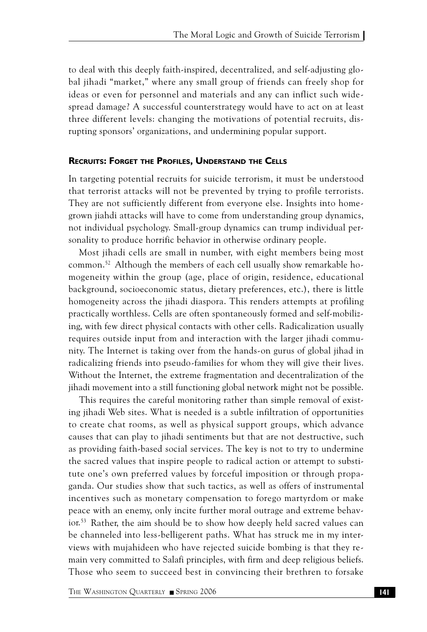to deal with this deeply faith-inspired, decentralized, and self-adjusting global jihadi "market," where any small group of friends can freely shop for ideas or even for personnel and materials and any can inflict such widespread damage? A successful counterstrategy would have to act on at least three different levels: changing the motivations of potential recruits, disrupting sponsors' organizations, and undermining popular support.

#### **RECRUITS: FORGET THE PROFILES, UNDERSTAND THE CELLS**

In targeting potential recruits for suicide terrorism, it must be understood that terrorist attacks will not be prevented by trying to profile terrorists. They are not sufficiently different from everyone else. Insights into homegrown jiahdi attacks will have to come from understanding group dynamics, not individual psychology. Small-group dynamics can trump individual personality to produce horrific behavior in otherwise ordinary people.

Most jihadi cells are small in number, with eight members being most common.52 Although the members of each cell usually show remarkable homogeneity within the group (age, place of origin, residence, educational background, socioeconomic status, dietary preferences, etc.), there is little homogeneity across the jihadi diaspora. This renders attempts at profiling practically worthless. Cells are often spontaneously formed and self-mobilizing, with few direct physical contacts with other cells. Radicalization usually requires outside input from and interaction with the larger jihadi community. The Internet is taking over from the hands-on gurus of global jihad in radicalizing friends into pseudo-families for whom they will give their lives. Without the Internet, the extreme fragmentation and decentralization of the jihadi movement into a still functioning global network might not be possible.

This requires the careful monitoring rather than simple removal of existing jihadi Web sites. What is needed is a subtle infiltration of opportunities to create chat rooms, as well as physical support groups, which advance causes that can play to jihadi sentiments but that are not destructive, such as providing faith-based social services. The key is not to try to undermine the sacred values that inspire people to radical action or attempt to substitute one's own preferred values by forceful imposition or through propaganda. Our studies show that such tactics, as well as offers of instrumental incentives such as monetary compensation to forego martyrdom or make peace with an enemy, only incite further moral outrage and extreme behavior.53 Rather, the aim should be to show how deeply held sacred values can be channeled into less-belligerent paths. What has struck me in my interviews with mujahideen who have rejected suicide bombing is that they remain very committed to Salafi principles, with firm and deep religious beliefs. Those who seem to succeed best in convincing their brethren to forsake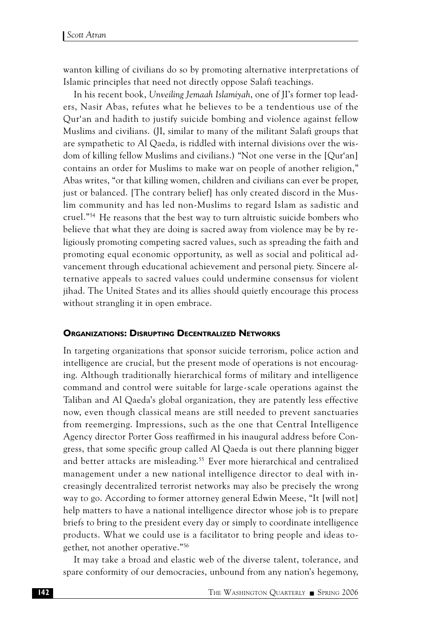wanton killing of civilians do so by promoting alternative interpretations of Islamic principles that need not directly oppose Salafi teachings.

In his recent book, *Unveiling Jemaah Islamiyah*, one of JI's former top leaders, Nasir Abas, refutes what he believes to be a tendentious use of the Qur'an and hadith to justify suicide bombing and violence against fellow Muslims and civilians. (JI, similar to many of the militant Salafi groups that are sympathetic to Al Qaeda, is riddled with internal divisions over the wisdom of killing fellow Muslims and civilians.) "Not one verse in the [Qur'an] contains an order for Muslims to make war on people of another religion," Abas writes, "or that killing women, children and civilians can ever be proper, just or balanced. [The contrary belief] has only created discord in the Muslim community and has led non-Muslims to regard Islam as sadistic and cruel."54 He reasons that the best way to turn altruistic suicide bombers who believe that what they are doing is sacred away from violence may be by religiously promoting competing sacred values, such as spreading the faith and promoting equal economic opportunity, as well as social and political advancement through educational achievement and personal piety. Sincere alternative appeals to sacred values could undermine consensus for violent jihad. The United States and its allies should quietly encourage this process without strangling it in open embrace.

#### **ORGANIZATIONS: DISRUPTING DECENTRALIZED NETWORKS**

In targeting organizations that sponsor suicide terrorism, police action and intelligence are crucial, but the present mode of operations is not encouraging. Although traditionally hierarchical forms of military and intelligence command and control were suitable for large-scale operations against the Taliban and Al Qaeda's global organization, they are patently less effective now, even though classical means are still needed to prevent sanctuaries from reemerging. Impressions, such as the one that Central Intelligence Agency director Porter Goss reaffirmed in his inaugural address before Congress, that some specific group called Al Qaeda is out there planning bigger and better attacks are misleading.<sup>55</sup> Ever more hierarchical and centralized management under a new national intelligence director to deal with increasingly decentralized terrorist networks may also be precisely the wrong way to go. According to former attorney general Edwin Meese, "It [will not] help matters to have a national intelligence director whose job is to prepare briefs to bring to the president every day or simply to coordinate intelligence products. What we could use is a facilitator to bring people and ideas together, not another operative."56

It may take a broad and elastic web of the diverse talent, tolerance, and spare conformity of our democracies, unbound from any nation's hegemony,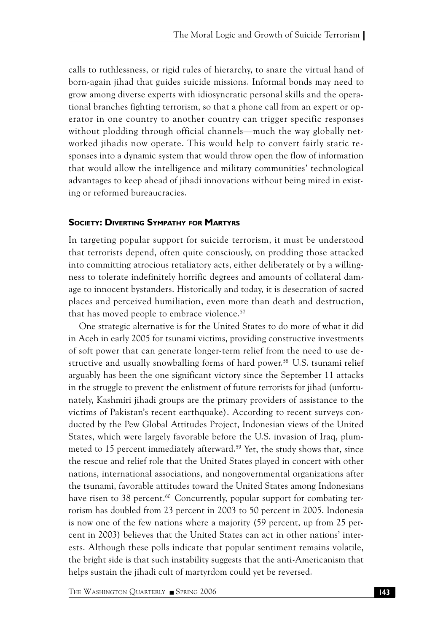calls to ruthlessness, or rigid rules of hierarchy, to snare the virtual hand of born-again jihad that guides suicide missions. Informal bonds may need to grow among diverse experts with idiosyncratic personal skills and the operational branches fighting terrorism, so that a phone call from an expert or operator in one country to another country can trigger specific responses without plodding through official channels—much the way globally networked jihadis now operate. This would help to convert fairly static responses into a dynamic system that would throw open the flow of information that would allow the intelligence and military communities' technological advantages to keep ahead of jihadi innovations without being mired in existing or reformed bureaucracies.

#### **SOCIETY: DIVERTING SYMPATHY FOR MARTYRS**

In targeting popular support for suicide terrorism, it must be understood that terrorists depend, often quite consciously, on prodding those attacked into committing atrocious retaliatory acts, either deliberately or by a willingness to tolerate indefinitely horrific degrees and amounts of collateral damage to innocent bystanders. Historically and today, it is desecration of sacred places and perceived humiliation, even more than death and destruction, that has moved people to embrace violence.<sup>57</sup>

One strategic alternative is for the United States to do more of what it did in Aceh in early 2005 for tsunami victims, providing constructive investments of soft power that can generate longer-term relief from the need to use destructive and usually snowballing forms of hard power.<sup>58</sup> U.S. tsunami relief arguably has been the one significant victory since the September 11 attacks in the struggle to prevent the enlistment of future terrorists for jihad (unfortunately, Kashmiri jihadi groups are the primary providers of assistance to the victims of Pakistan's recent earthquake). According to recent surveys conducted by the Pew Global Attitudes Project, Indonesian views of the United States, which were largely favorable before the U.S. invasion of Iraq, plummeted to 15 percent immediately afterward.<sup>59</sup> Yet, the study shows that, since the rescue and relief role that the United States played in concert with other nations, international associations, and nongovernmental organizations after the tsunami, favorable attitudes toward the United States among Indonesians have risen to 38 percent.<sup>60</sup> Concurrently, popular support for combating terrorism has doubled from 23 percent in 2003 to 50 percent in 2005. Indonesia is now one of the few nations where a majority (59 percent, up from 25 percent in 2003) believes that the United States can act in other nations' interests. Although these polls indicate that popular sentiment remains volatile, the bright side is that such instability suggests that the anti-Americanism that helps sustain the jihadi cult of martyrdom could yet be reversed.

THE WASHINGTON QUARTERLY **BERING 2006**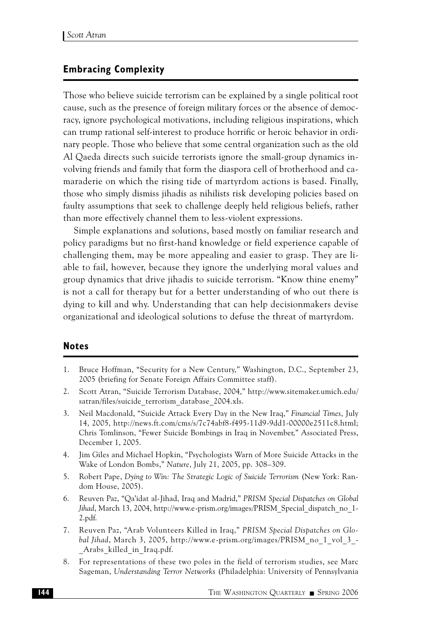## **Embracing Complexity**

Those who believe suicide terrorism can be explained by a single political root cause, such as the presence of foreign military forces or the absence of democracy, ignore psychological motivations, including religious inspirations, which can trump rational self-interest to produce horrific or heroic behavior in ordinary people. Those who believe that some central organization such as the old Al Qaeda directs such suicide terrorists ignore the small-group dynamics involving friends and family that form the diaspora cell of brotherhood and camaraderie on which the rising tide of martyrdom actions is based. Finally, those who simply dismiss jihadis as nihilists risk developing policies based on faulty assumptions that seek to challenge deeply held religious beliefs, rather than more effectively channel them to less-violent expressions.

Simple explanations and solutions, based mostly on familiar research and policy paradigms but no first-hand knowledge or field experience capable of challenging them, may be more appealing and easier to grasp. They are liable to fail, however, because they ignore the underlying moral values and group dynamics that drive jihadis to suicide terrorism. "Know thine enemy" is not a call for therapy but for a better understanding of who out there is dying to kill and why. Understanding that can help decisionmakers devise organizational and ideological solutions to defuse the threat of martyrdom.

#### **Notes**

- 1. Bruce Hoffman, "Security for a New Century," Washington, D.C., September 23, 2005 (briefing for Senate Foreign Affairs Committee staff).
- 2. Scott Atran, "Suicide Terrorism Database, 2004," http://www.sitemaker.umich.edu/ satran/files/suicide terrorism database 2004.xls.
- 3.Neil Macdonald, "Suicide Attack Every Day in the New Iraq," *Financial Times*, July 14, 2005, http://news.ft.com/cms/s/7c74abf8-f495-11d9-9dd1-00000e2511c8.html; Chris Tomlinson, "Fewer Suicide Bombings in Iraq in November," Associated Press, December 1, 2005.
- 4.Jim Giles and Michael Hopkin, "Psychologists Warn of More Suicide Attacks in the Wake of London Bombs," *Nature*, July 21, 2005, pp. 308–309.
- 5.Robert Pape, *Dying to Win: The Strategic Logic of Suicide Terrorism* (New York: Random House, 2005).
- 6.Reuven Paz, "Qa'idat al-Jihad, Iraq and Madrid," *PRISM Special Dispatches on Global Jihad*, March 13, 2004, http://www.e-prism.org/images/PRISM\_Special\_dispatch\_no\_1- 2.pdf.
- 7.Reuven Paz, "Arab Volunteers Killed in Iraq," *PRISM Special Dispatches on Global Jihad*, March 3, 2005, http://www.e-prism.org/images/PRISM\_no\_1\_vol\_3\_- \_Arabs\_killed\_in\_Iraq.pdf.
- 8. For representations of these two poles in the field of terrorism studies, see Marc Sageman, *Understanding Terror Networks* (Philadelphia: University of Pennsylvania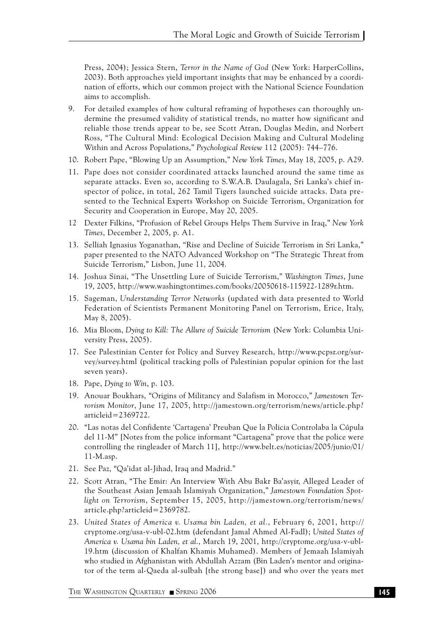Press, 2004); Jessica Stern, *Terror in the Name of God* (New York: HarperCollins, 2003). Both approaches yield important insights that may be enhanced by a coordination of efforts, which our common project with the National Science Foundation aims to accomplish.

- 9.For detailed examples of how cultural reframing of hypotheses can thoroughly undermine the presumed validity of statistical trends, no matter how significant and reliable those trends appear to be, see Scott Atran, Douglas Medin, and Norbert Ross, "The Cultural Mind: Ecological Decision Making and Cultural Modeling Within and Across Populations," *Psychological Review* 112 (2005): 744–776.
- 10.Robert Pape, "Blowing Up an Assumption," *New York Times*, May 18, 2005, p. A29.
- 11.Pape does not consider coordinated attacks launched around the same time as separate attacks. Even so, according to S.W.A.B. Daulagala, Sri Lanka's chief inspector of police, in total, 262 Tamil Tigers launched suicide attacks. Data presented to the Technical Experts Workshop on Suicide Terrorism, Organization for Security and Cooperation in Europe, May 20, 2005.
- 12 Dexter Filkins, "Profusion of Rebel Groups Helps Them Survive in Iraq," *New York Times*, December 2, 2005, p. A1.
- 13. Selliah Ignasius Yoganathan, "Rise and Decline of Suicide Terrorism in Sri Lanka," paper presented to the NATO Advanced Workshop on "The Strategic Threat from Suicide Terrorism," Lisbon, June 11, 2004.
- 14.Joshua Sinai, "The Unsettling Lure of Suicide Terrorism," *Washington Times*, June 19, 2005, http://www.washingtontimes.com/books/20050618-115922-1289r.htm.
- 15.Sageman, *Understanding Terror Networks* (updated with data presented to World Federation of Scientists Permanent Monitoring Panel on Terrorism, Erice, Italy, May 8, 2005).
- 16.Mia Bloom, *Dying to Kill: The Allure of Suicide Terrorism* (New York: Columbia University Press, 2005).
- 17. See Palestinian Center for Policy and Survey Research, http://www.pcpsr.org/survey/survey.html (political tracking polls of Palestinian popular opinion for the last seven years).
- 18.Pape, *Dying to Win*, p. 103.
- 19.Anouar Boukhars, "Origins of Militancy and Salafism in Morocco," *Jamestown Terrorism Monitor*, June 17, 2005, http://jamestown.org/terrorism/news/article.php? articleid=2369722.
- 20."Las notas del Confidente 'Cartagena' Preuban Que la Policia Controlaba la Cúpula del 11-M" [Notes from the police informant "Cartagena" prove that the police were controlling the ringleader of March 11], http://www.belt.es/noticias/2005/junio/01/ 11-M.asp.
- 21. See Paz, "Qa'idat al-Jihad, Iraq and Madrid."
- 22. Scott Atran, "The Emir: An Interview With Abu Bakr Ba'asyir, Alleged Leader of the Southeast Asian Jemaah Islamiyah Organization," *Jamestown Foundation Spotlight on Terrorism*, September 15, 2005, http://jamestown.org/terrorism/news/ article.php?articleid=2369782.
- 23. *United States of America v. Usama bin Laden, et al.*, February 6, 2001, http:// cryptome.org/usa-v-ubl-02.htm (defendant Jamal Ahmed Al-Fadl); *United States of America v. Usama bin Laden, et al.*, March 19, 2001, http://cryptome.org/usa-v-ubl-19.htm (discussion of Khalfan Khamis Muhamed). Members of Jemaah Islamiyah who studied in Afghanistan with Abdullah Azzam (Bin Laden's mentor and originator of the term al-Qaeda al-sulbah [the strong base]) and who over the years met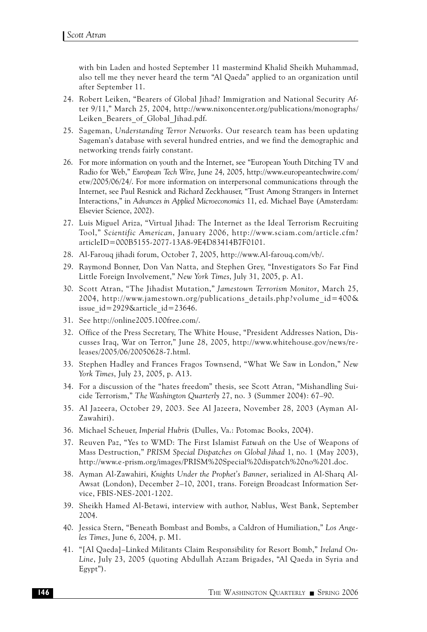with bin Laden and hosted September 11 mastermind Khalid Sheikh Muhammad, also tell me they never heard the term "Al Qaeda" applied to an organization until after September 11.

- 24.Robert Leiken, "Bearers of Global Jihad? Immigration and National Security After 9/11," March 25, 2004, http://www.nixoncenter.org/publications/monographs/ Leiken Bearers of Global Jihad.pdf.
- 25.Sageman, *Understanding Terror Networks*. Our research team has been updating Sageman's database with several hundred entries, and we find the demographic and networking trends fairly constant.
- 26.For more information on youth and the Internet, see "European Youth Ditching TV and Radio for Web," *European Tech Wire*, June 24, 2005, http://www.europeantechwire.com/ etw/2005/06/24/. For more information on interpersonal communications through the Internet, see Paul Resnick and Richard Zeckhauser, "Trust Among Strangers in Internet Interactions," in *Advances in Applied Microeconomics* 11, ed. Michael Baye (Amsterdam: Elsevier Science, 2002).
- 27.Luis Miguel Ariza, "Virtual Jihad: The Internet as the Ideal Terrorism Recruiting Tool," *Scientific American*, January 2006, http://www.sciam.com/article.cfm? articleID=000B5155-2077-13A8-9E4D83414B7F0101.
- 28. Al-Farouq jihadi forum, October 7, 2005, http://www.Al-farouq.com/vb/.
- 29.Raymond Bonner, Don Van Natta, and Stephen Grey, "Investigators So Far Find Little Foreign Involvement," *New York Times*, July 31, 2005, p. A1.
- 30.Scott Atran, "The Jihadist Mutation," *Jamestown Terrorism Monitor*, March 25, 2004, http://www.jamestown.org/publications\_details.php?volume\_id=400& issue  $id=2929$ &article  $id=23646$ .
- 31. See http://online2005.100free.com/.
- 32.Office of the Press Secretary, The White House, "President Addresses Nation, Discusses Iraq, War on Terror," June 28, 2005, http://www.whitehouse.gov/news/releases/2005/06/20050628-7.html.
- 33.Stephen Hadley and Frances Fragos Townsend, "What We Saw in London," *New York Times*, July 23, 2005, p. A13.
- 34.For a discussion of the "hates freedom" thesis, see Scott Atran, "Mishandling Suicide Terrorism," *The Washington Quarterly* 27, no. 3 (Summer 2004): 67–90.
- 35.Al Jazeera, October 29, 2003. See Al Jazeera, November 28, 2003 (Ayman Al-Zawahiri).
- 36.Michael Scheuer, *Imperial Hubris* (Dulles, Va.: Potomac Books, 2004).
- 37.Reuven Paz, "Yes to WMD: The First Islamist *Fatwah* on the Use of Weapons of Mass Destruction," *PRISM Special Dispatches on Global Jihad* 1, no. 1 (May 2003), http://www.e-prism.org/images/PRISM%20Special%20dispatch%20no%201.doc.
- 38.Ayman Al-Zawahiri, *Knights Under the Prophet's Banner*, serialized in Al-Sharq Al-Awsat (London), December 2–10, 2001, trans. Foreign Broadcast Information Service, FBIS-NES-2001-1202.
- 39.Sheikh Hamed Al-Betawi, interview with author, Nablus, West Bank, September 2004.
- 40.Jessica Stern, "Beneath Bombast and Bombs, a Caldron of Humiliation," *Los Angeles Times*, June 6, 2004, p. M1.
- 41."[Al Qaeda]–Linked Militants Claim Responsibility for Resort Bomb," *Ireland On-Line*, July 23, 2005 (quoting Abdullah Azzam Brigades, "Al Qaeda in Syria and Egypt").